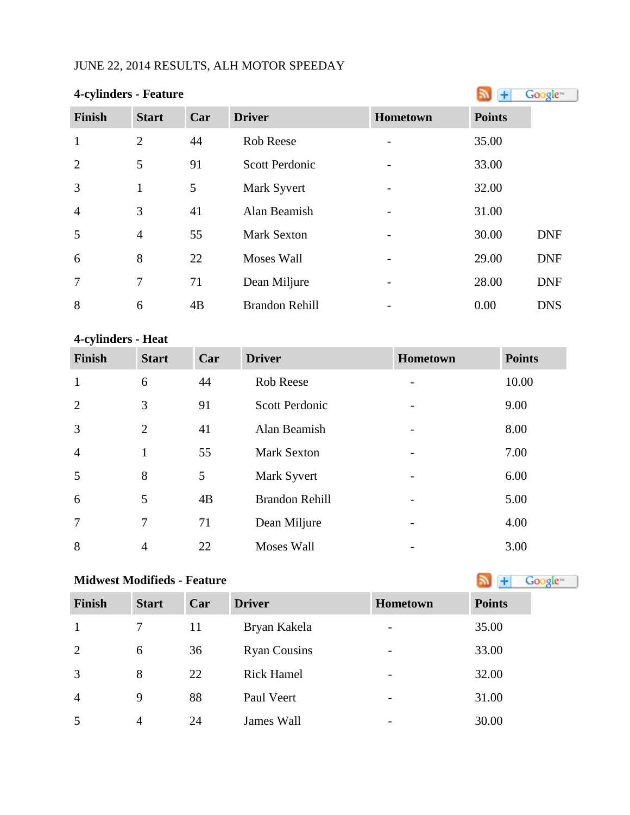# JUNE 22, 2014 RESULTS, ALH MOTOR SPEEDAY

| 4-cylinders - Feature | +              | Google <sup>®</sup> |                       |          |               |            |
|-----------------------|----------------|---------------------|-----------------------|----------|---------------|------------|
| Finish                | <b>Start</b>   | Car                 | <b>Driver</b>         | Hometown | <b>Points</b> |            |
| $\mathbf{1}$          | 2              | 44                  | Rob Reese             |          | 35.00         |            |
| $\overline{2}$        | 5              | 91                  | <b>Scott Perdonic</b> |          | 33.00         |            |
| 3                     | 1              | 5                   | Mark Syvert           |          | 32.00         |            |
| $\overline{4}$        | 3              | 41                  | Alan Beamish          |          | 31.00         |            |
| 5                     | $\overline{4}$ | 55                  | <b>Mark Sexton</b>    |          | 30.00         | <b>DNF</b> |
| 6                     | 8              | 22                  | <b>Moses Wall</b>     |          | 29.00         | <b>DNF</b> |
| $\overline{7}$        | 7              | 71                  | Dean Miljure          |          | 28.00         | <b>DNF</b> |
| 8                     | 6              | 4B                  | <b>Brandon Rehill</b> |          | 0.00          | <b>DNS</b> |

# **4-cylinders - Heat**

| <b>Finish</b>  | <b>Start</b>   | Car | <b>Driver</b>         | Hometown | <b>Points</b> |
|----------------|----------------|-----|-----------------------|----------|---------------|
| $\mathbf{1}$   | 6              | 44  | <b>Rob Reese</b>      |          | 10.00         |
| $\overline{2}$ | 3              | 91  | <b>Scott Perdonic</b> |          | 9.00          |
| 3              | $\overline{2}$ | 41  | Alan Beamish          |          | 8.00          |
| $\overline{4}$ | 1              | 55  | <b>Mark Sexton</b>    |          | 7.00          |
| 5              | 8              | 5   | Mark Syvert           |          | 6.00          |
| 6              | 5              | 4B  | <b>Brandon Rehill</b> |          | 5.00          |
| 7              | $\tau$         | 71  | Dean Miljure          |          | 4.00          |
| 8              | $\overline{4}$ | 22  | <b>Moses Wall</b>     |          | 3.00          |

| <b>Midwest Modifieds - Feature</b> | Google <sup>®</sup> |     |                     |                              |               |
|------------------------------------|---------------------|-----|---------------------|------------------------------|---------------|
| <b>Finish</b>                      | <b>Start</b>        | Car | <b>Driver</b>       | <b>Hometown</b>              | <b>Points</b> |
| -1                                 | 7                   | 11  | Bryan Kakela        |                              | 35.00         |
| 2                                  | 6                   | 36  | <b>Ryan Cousins</b> | $\overline{\phantom{0}}$     | 33.00         |
| 3                                  | 8                   | 22  | <b>Rick Hamel</b>   |                              | 32.00         |
| $\overline{4}$                     | 9                   | 88  | Paul Veert          | $\qquad \qquad \blacksquare$ | 31.00         |
| 5                                  | $\overline{4}$      | 24  | James Wall          |                              | 30.00         |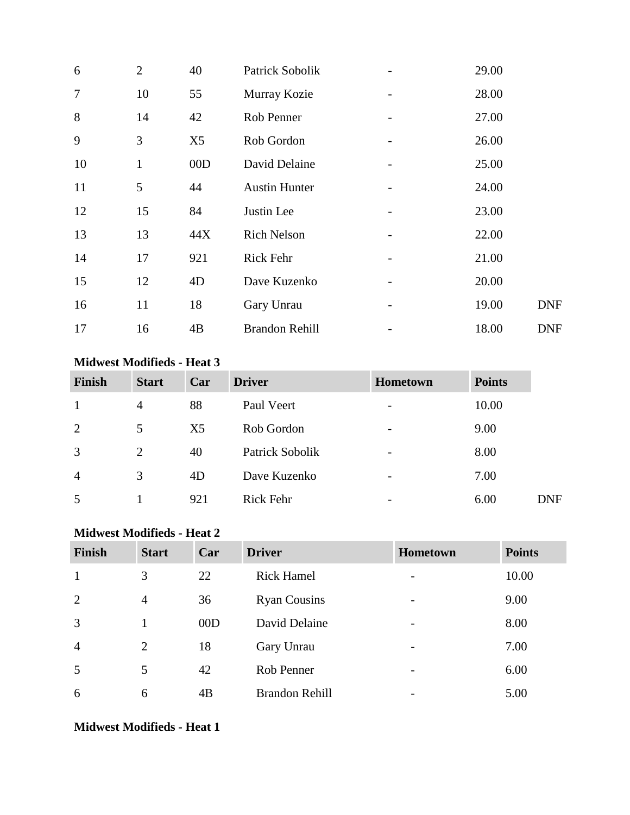| 6              | $\overline{2}$ | 40  | Patrick Sobolik       | 29.00 |            |
|----------------|----------------|-----|-----------------------|-------|------------|
| $\overline{7}$ | 10             | 55  | Murray Kozie          | 28.00 |            |
| 8              | 14             | 42  | Rob Penner            | 27.00 |            |
| 9              | 3              | X5  | Rob Gordon            | 26.00 |            |
| 10             | $\mathbf{1}$   | 00D | David Delaine         | 25.00 |            |
| 11             | 5              | 44  | <b>Austin Hunter</b>  | 24.00 |            |
| 12             | 15             | 84  | Justin Lee            | 23.00 |            |
| 13             | 13             | 44X | <b>Rich Nelson</b>    | 22.00 |            |
| 14             | 17             | 921 | Rick Fehr             | 21.00 |            |
| 15             | 12             | 4D  | Dave Kuzenko          | 20.00 |            |
| 16             | 11             | 18  | Gary Unrau            | 19.00 | <b>DNF</b> |
| 17             | 16             | 4B  | <b>Brandon Rehill</b> | 18.00 | <b>DNF</b> |

## **Midwest Modifieds - Heat 3**

| <b>Finish</b>  | <b>Start</b>   | Car            | <b>Driver</b>    | <b>Hometown</b>          | <b>Points</b> |     |
|----------------|----------------|----------------|------------------|--------------------------|---------------|-----|
| 1              | 4              | 88             | Paul Veert       | $\overline{\phantom{a}}$ | 10.00         |     |
| 2              | 5              | X <sub>5</sub> | Rob Gordon       |                          | 9.00          |     |
| 3              | $\overline{2}$ | 40             | Patrick Sobolik  | -                        | 8.00          |     |
| $\overline{4}$ | 3              | 4D             | Dave Kuzenko     | -                        | 7.00          |     |
| 5              |                | 921            | <b>Rick Fehr</b> | $\overline{\phantom{0}}$ | 6.00          | DNF |

## **Midwest Modifieds - Heat 2**

| <b>Finish</b>  | <b>Start</b>   | Car | <b>Driver</b>         | <b>Hometown</b>          | <b>Points</b> |
|----------------|----------------|-----|-----------------------|--------------------------|---------------|
| 1              | 3              | 22  | <b>Rick Hamel</b>     | $\overline{\phantom{0}}$ | 10.00         |
| 2              | $\overline{4}$ | 36  | <b>Ryan Cousins</b>   | -                        | 9.00          |
| 3              |                | 00D | David Delaine         |                          | 8.00          |
| $\overline{4}$ | 2              | 18  | Gary Unrau            | $\overline{\phantom{a}}$ | 7.00          |
| 5              | 5              | 42  | Rob Penner            | $\overline{\phantom{0}}$ | 6.00          |
| 6              | 6              | 4B  | <b>Brandon Rehill</b> |                          | 5.00          |

**Midwest Modifieds - Heat 1**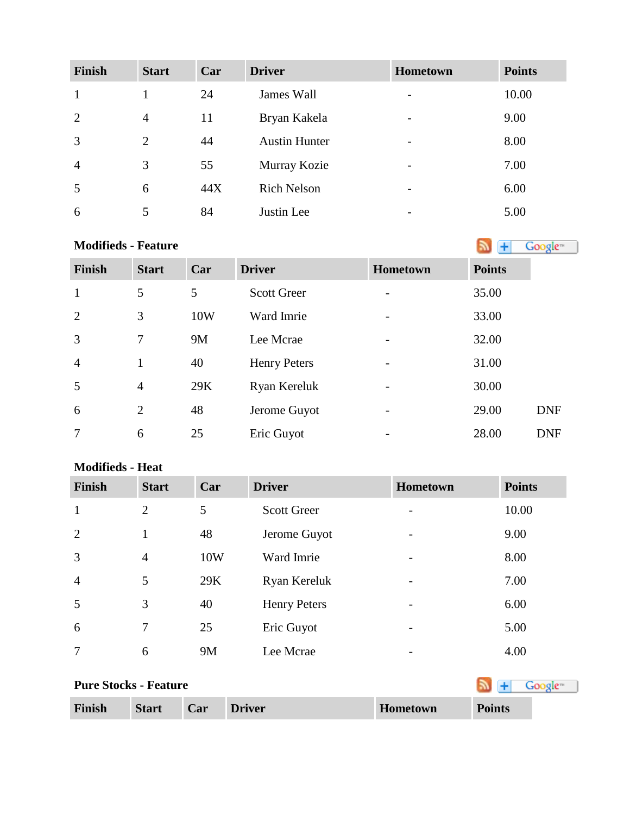| <b>Finish</b>  | <b>Start</b>   | Car | <b>Driver</b>        | Hometown                 | <b>Points</b> |
|----------------|----------------|-----|----------------------|--------------------------|---------------|
|                |                | 24  | James Wall           | -                        | 10.00         |
| 2              | $\overline{4}$ | 11  | Bryan Kakela         | -                        | 9.00          |
| 3              | $\overline{2}$ | 44  | <b>Austin Hunter</b> | -                        | 8.00          |
| $\overline{4}$ | 3              | 55  | Murray Kozie         | $\overline{\phantom{0}}$ | 7.00          |
| 5              | 6              | 44X | <b>Rich Nelson</b>   | -                        | 6.00          |
| 6              |                | 84  | Justin Lee           |                          | 5.00          |

# **Modifieds- Feature**

| <b>Finish</b>  | <b>Start</b>   | Car | <b>Driver</b>       | Hometown | <b>Points</b> |            |
|----------------|----------------|-----|---------------------|----------|---------------|------------|
| $\mathbf{1}$   | 5              | 5   | <b>Scott Greer</b>  |          | 35.00         |            |
| 2              | 3              | 10W | Ward Imrie          |          | 33.00         |            |
| $\overline{3}$ | 7              | 9M  | Lee Mcrae           |          | 32.00         |            |
| $\overline{4}$ | $\mathbf{1}$   | 40  | <b>Henry Peters</b> |          | 31.00         |            |
| 5              | $\overline{4}$ | 29K | Ryan Kereluk        |          | 30.00         |            |
| 6              | $\overline{2}$ | 48  | Jerome Guyot        |          | 29.00         | <b>DNF</b> |
| 7              | 6              | 25  | Eric Guyot          |          | 28.00         | <b>DNF</b> |

# **Modifieds - Heat**

| <b>Finish</b>  | <b>Start</b>   | Car       | <b>Driver</b>       | <b>Hometown</b>          | <b>Points</b> |
|----------------|----------------|-----------|---------------------|--------------------------|---------------|
| 1              | $\overline{2}$ | 5         | <b>Scott Greer</b>  |                          | 10.00         |
| 2              | $\mathbf{1}$   | 48        | Jerome Guyot        | $\overline{\phantom{a}}$ | 9.00          |
| 3              | $\overline{4}$ | 10W       | Ward Imrie          | $\overline{\phantom{a}}$ | 8.00          |
| $\overline{4}$ | 5              | 29K       | Ryan Kereluk        | $\overline{\phantom{m}}$ | 7.00          |
| 5              | 3              | 40        | <b>Henry Peters</b> |                          | 6.00          |
| 6              | 7              | 25        | Eric Guyot          | $\overline{\phantom{a}}$ | 5.00          |
| 7              | 6              | <b>9M</b> | Lee Mcrae           |                          | 4.00          |

| <b>Pure Stocks - Feature</b> |              |     |               |          |               |
|------------------------------|--------------|-----|---------------|----------|---------------|
| Finish                       | <b>Start</b> | Car | <b>Driver</b> | Hometown | <b>Points</b> |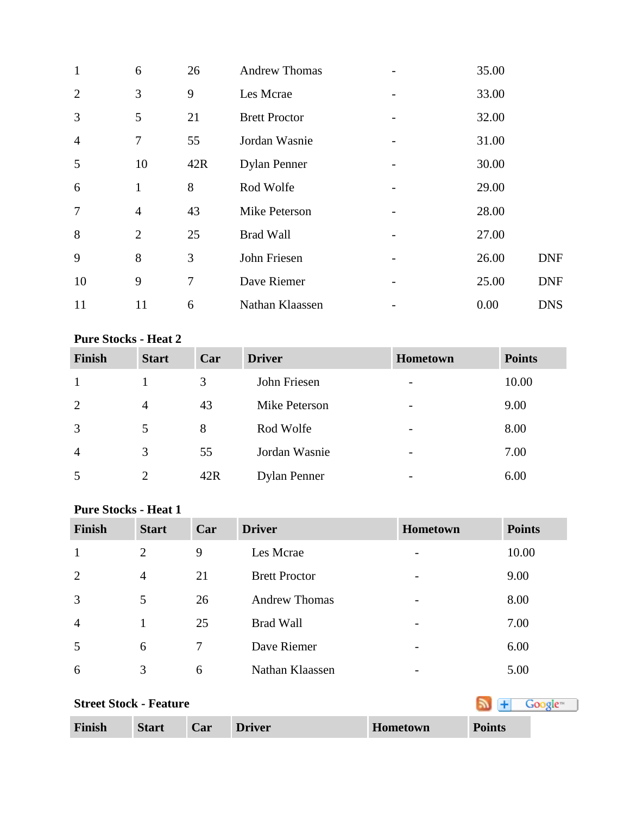| $\mathbf{1}$   | 6              | 26  | <b>Andrew Thomas</b> | 35.00 |            |
|----------------|----------------|-----|----------------------|-------|------------|
| 2              | 3              | 9   | Les Mcrae            | 33.00 |            |
| 3              | 5              | 21  | <b>Brett Proctor</b> | 32.00 |            |
| $\overline{4}$ | 7              | 55  | Jordan Wasnie        | 31.00 |            |
| 5              | 10             | 42R | <b>Dylan Penner</b>  | 30.00 |            |
| 6              | $\mathbf{1}$   | 8   | Rod Wolfe            | 29.00 |            |
| $\overline{7}$ | $\overline{4}$ | 43  | Mike Peterson        | 28.00 |            |
| 8              | $\overline{2}$ | 25  | <b>Brad Wall</b>     | 27.00 |            |
| 9              | 8              | 3   | John Friesen         | 26.00 | <b>DNF</b> |
| 10             | 9              | 7   | Dave Riemer          | 25.00 | <b>DNF</b> |
| 11             | 11             | 6   | Nathan Klaassen      | 0.00  | <b>DNS</b> |

## **Pure Stocks - Heat 2**

| <b>Finish</b>  | <b>Start</b>   | Car | <b>Driver</b>       | <b>Hometown</b>          | <b>Points</b> |
|----------------|----------------|-----|---------------------|--------------------------|---------------|
|                |                | 3   | John Friesen        |                          | 10.00         |
| 2              | $\overline{4}$ | 43  | Mike Peterson       | $\overline{\phantom{0}}$ | 9.00          |
| 3              | 5              | 8   | Rod Wolfe           | $\overline{\phantom{a}}$ | 8.00          |
| $\overline{4}$ | 3              | 55  | Jordan Wasnie       | $\overline{\phantom{a}}$ | 7.00          |
| 5              | $\overline{2}$ | 42R | <b>Dylan Penner</b> | $\overline{\phantom{0}}$ | 6.00          |

## **Pure Stocks - Heat 1**

| <b>Finish</b>  | <b>Start</b>   | Car | <b>Driver</b>        | <b>Hometown</b>          | <b>Points</b> |
|----------------|----------------|-----|----------------------|--------------------------|---------------|
| $\mathbf{1}$   | $\overline{2}$ | 9   | Les Mcrae            |                          | 10.00         |
| 2              | $\overline{4}$ | 21  | <b>Brett Proctor</b> | -                        | 9.00          |
| 3              | 5              | 26  | <b>Andrew Thomas</b> |                          | 8.00          |
| $\overline{4}$ |                | 25  | <b>Brad Wall</b>     |                          | 7.00          |
| 5              | 6              | 7   | Dave Riemer          | $\overline{\phantom{0}}$ | 6.00          |
| 6              | 3              | 6   | Nathan Klaassen      |                          | 5.00          |

| <b>Street Stock - Feature</b> | Google™      |     |               |          |               |
|-------------------------------|--------------|-----|---------------|----------|---------------|
| <b>Finish</b>                 | <b>Start</b> | Car | <b>Driver</b> | Hometown | <b>Points</b> |